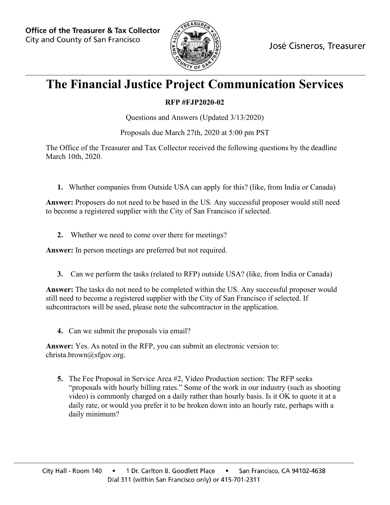

## **The Financial Justice Project Communication Services**

## **RFP #FJP2020-02**

Questions and Answers (Updated 3/13/2020)

Proposals due March 27th, 2020 at 5:00 pm PST

The Office of the Treasurer and Tax Collector received the following questions by the deadline March 10th, 2020.

**1.** Whether companies from Outside USA can apply for this? (like, from India or Canada)

**Answer:** Proposers do not need to be based in the US. Any successful proposer would still need to become a registered supplier with the City of San Francisco if selected.

**2.** Whether we need to come over there for meetings?

**Answer:** In person meetings are preferred but not required.

**3.** Can we perform the tasks (related to RFP) outside USA? (like, from India or Canada)

**Answer:** The tasks do not need to be completed within the US. Any successful proposer would still need to become a registered supplier with the City of San Francisco if selected. If subcontractors will be used, please note the subcontractor in the application.

**4.** Can we submit the proposals via email?

**Answer:** Yes. As noted in the RFP, you can submit an electronic version to: christa.brown@sfgov.org.

**5.** The Fee Proposal in Service Area #2, Video Production section: The RFP seeks "proposals with hourly billing rates." Some of the work in our industry (such as shooting video) is commonly charged on a daily rather than hourly basis. Is it OK to quote it at a daily rate, or would you prefer it to be broken down into an hourly rate, perhaps with a daily minimum?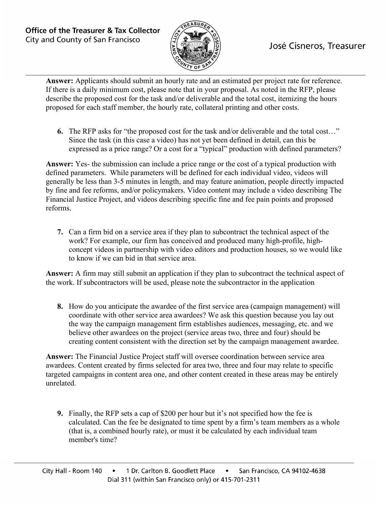

## José Cisneros, Treasurer

**Answer:** Applicants should submit an hourly rate and an estimated per project rate for reference. If there is a daily minimum cost, please note that in your proposal. As noted in the RFP, please describe the proposed cost for the task and/or deliverable and the total cost, itemizing the hours proposed for each staff member, the hourly rate, collateral printing and other costs.

**6.** The RFP asks for "the proposed cost for the task and/or deliverable and the total cost…" Since the task (in this case a video) has not yet been defined in detail, can this be expressed as a price range? Or a cost for a "typical" production with defined parameters?

**Answer:** Yes- the submission can include a price range or the cost of a typical production with defined parameters. While parameters will be defined for each individual video, videos will generally be less than 3-5 minutes in length, and may feature animation, people directly impacted by fine and fee reforms, and/or policymakers. Video content may include a video describing The Financial Justice Project, and videos describing specific fine and fee pain points and proposed reforms.

**7.** Can a firm bid on a service area if they plan to subcontract the technical aspect of the work? For example, our firm has conceived and produced many high-profile, highconcept videos in partnership with video editors and production houses, so we would like to know if we can bid in that service area.

**Answer:** A firm may still submit an application if they plan to subcontract the technical aspect of the work. If subcontractors will be used, please note the subcontractor in the application

**8.** How do you anticipate the awardee of the first service area (campaign management) will coordinate with other service area awardees? We ask this question because you lay out the way the campaign management firm establishes audiences, messaging, etc. and we believe other awardees on the project (service areas two, three and four) should be creating content consistent with the direction set by the campaign management awardee.

**Answer:** The Financial Justice Project staff will oversee coordination between service area awardees. Content created by firms selected for area two, three and four may relate to specific targeted campaigns in content area one, and other content created in these areas may be entirely unrelated.

**9.** Finally, the RFP sets a cap of \$200 per hour but it's not specified how the fee is calculated. Can the fee be designated to time spent by a firm's team members as a whole (that is, a combined hourly rate), or must it be calculated by each individual team member's time?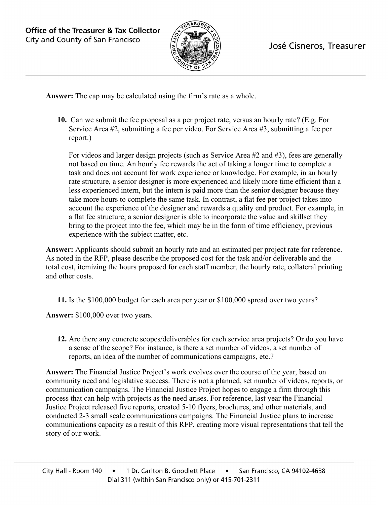

**Answer:** The cap may be calculated using the firm's rate as a whole.

**10.** Can we submit the fee proposal as a per project rate, versus an hourly rate? (E.g. For Service Area #2, submitting a fee per video. For Service Area #3, submitting a fee per report.)

For videos and larger design projects (such as Service Area #2 and #3), fees are generally not based on time. An hourly fee rewards the act of taking a longer time to complete a task and does not account for work experience or knowledge. For example, in an hourly rate structure, a senior designer is more experienced and likely more time efficient than a less experienced intern, but the intern is paid more than the senior designer because they take more hours to complete the same task. In contrast, a flat fee per project takes into account the experience of the designer and rewards a quality end product. For example, in a flat fee structure, a senior designer is able to incorporate the value and skillset they bring to the project into the fee, which may be in the form of time efficiency, previous experience with the subject matter, etc.

**Answer:** Applicants should submit an hourly rate and an estimated per project rate for reference. As noted in the RFP, please describe the proposed cost for the task and/or deliverable and the total cost, itemizing the hours proposed for each staff member, the hourly rate, collateral printing and other costs.

**11.** Is the \$100,000 budget for each area per year or \$100,000 spread over two years?

**Answer:** \$100,000 over two years.

**12.** Are there any concrete scopes/deliverables for each service area projects? Or do you have a sense of the scope? For instance, is there a set number of videos, a set number of reports, an idea of the number of communications campaigns, etc.?

**Answer:** The Financial Justice Project's work evolves over the course of the year, based on community need and legislative success. There is not a planned, set number of videos, reports, or communication campaigns. The Financial Justice Project hopes to engage a firm through this process that can help with projects as the need arises. For reference, last year the Financial Justice Project released five reports, created 5-10 flyers, brochures, and other materials, and conducted 2-3 small scale communications campaigns. The Financial Justice plans to increase communications capacity as a result of this RFP, creating more visual representations that tell the story of our work.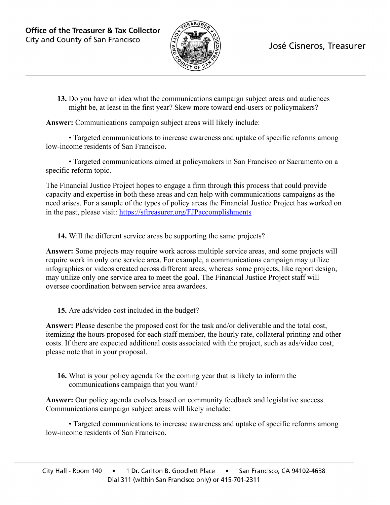

## José Cisneros, Treasurer

**13.** Do you have an idea what the communications campaign subject areas and audiences might be, at least in the first year? Skew more toward end-users or policymakers?

**Answer:** Communications campaign subject areas will likely include:

• Targeted communications to increase awareness and uptake of specific reforms among low-income residents of San Francisco.

• Targeted communications aimed at policymakers in San Francisco or Sacramento on a specific reform topic.

The Financial Justice Project hopes to engage a firm through this process that could provide capacity and expertise in both these areas and can help with communications campaigns as the need arises. For a sample of the types of policy areas the Financial Justice Project has worked on in the past, please visit:<https://sftreasurer.org/FJPaccomplishments>

**14.** Will the different service areas be supporting the same projects?

**Answer:** Some projects may require work across multiple service areas, and some projects will require work in only one service area. For example, a communications campaign may utilize infographics or videos created across different areas, whereas some projects, like report design, may utilize only one service area to meet the goal. The Financial Justice Project staff will oversee coordination between service area awardees.

**15.** Are ads/video cost included in the budget?

**Answer:** Please describe the proposed cost for the task and/or deliverable and the total cost, itemizing the hours proposed for each staff member, the hourly rate, collateral printing and other costs. If there are expected additional costs associated with the project, such as ads/video cost, please note that in your proposal.

**16.** What is your policy agenda for the coming year that is likely to inform the communications campaign that you want?

**Answer:** Our policy agenda evolves based on community feedback and legislative success. Communications campaign subject areas will likely include:

• Targeted communications to increase awareness and uptake of specific reforms among low-income residents of San Francisco.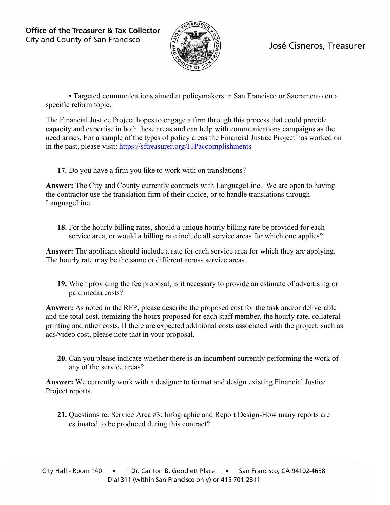

• Targeted communications aimed at policymakers in San Francisco or Sacramento on a specific reform topic.

The Financial Justice Project hopes to engage a firm through this process that could provide capacity and expertise in both these areas and can help with communications campaigns as the need arises. For a sample of the types of policy areas the Financial Justice Project has worked on in the past, please visit:<https://sftreasurer.org/FJPaccomplishments>

**17.** Do you have a firm you like to work with on translations?

**Answer:** The City and County currently contracts with LanguageLine. We are open to having the contractor use the translation firm of their choice, or to handle translations through LanguageLine.

**18.** For the hourly billing rates, should a unique hourly billing rate be provided for each service area, or would a billing rate include all service areas for which one applies?

**Answer:** The applicant should include a rate for each service area for which they are applying. The hourly rate may be the same or different across service areas.

**19.** When providing the fee proposal, is it necessary to provide an estimate of advertising or paid media costs?

**Answer:** As noted in the RFP, please describe the proposed cost for the task and/or deliverable and the total cost, itemizing the hours proposed for each staff member, the hourly rate, collateral printing and other costs. If there are expected additional costs associated with the project, such as ads/video cost, please note that in your proposal.

**20.** Can you please indicate whether there is an incumbent currently performing the work of any of the service areas?

**Answer:** We currently work with a designer to format and design existing Financial Justice Project reports.

**21.** Questions re: Service Area #3: Infographic and Report Design-How many reports are estimated to be produced during this contract?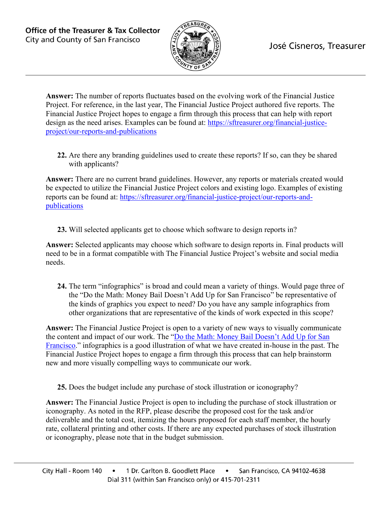

**Answer:** The number of reports fluctuates based on the evolving work of the Financial Justice Project. For reference, in the last year, The Financial Justice Project authored five reports. The Financial Justice Project hopes to engage a firm through this process that can help with report design as the need arises. Examples can be found at: [https://sftreasurer.org/financial-justice](https://sftreasurer.org/financial-justice-project/our-reports-and-publications)[project/our-reports-and-publications](https://sftreasurer.org/financial-justice-project/our-reports-and-publications)

**22.** Are there any branding guidelines used to create these reports? If so, can they be shared with applicants?

**Answer:** There are no current brand guidelines. However, any reports or materials created would be expected to utilize the Financial Justice Project colors and existing logo. Examples of existing reports can be found at: [https://sftreasurer.org/financial-justice-project/our-reports-and](https://sftreasurer.org/financial-justice-project/our-reports-and-publications)[publications](https://sftreasurer.org/financial-justice-project/our-reports-and-publications)

**23.** Will selected applicants get to choose which software to design reports in?

**Answer:** Selected applicants may choose which software to design reports in. Final products will need to be in a format compatible with The Financial Justice Project's website and social media needs.

**24.** The term "infographics" is broad and could mean a variety of things. Would page three of the "Do the Math: Money Bail Doesn't Add Up for San Francisco" be representative of the kinds of graphics you expect to need? Do you have any sample infographics from other organizations that are representative of the kinds of work expected in this scope?

**Answer:** The Financial Justice Project is open to a variety of new ways to visually communicate the content and impact of our work. The ["Do the Math: Money Bail Doesn't Add Up for San](https://sftreasurer.org/sites/default/files/2019-09/2017.6.27%20Bail%20Report%20FINAL_2.pdf)  [Francisco.](https://sftreasurer.org/sites/default/files/2019-09/2017.6.27%20Bail%20Report%20FINAL_2.pdf)" infographics is a good illustration of what we have created in-house in the past. The Financial Justice Project hopes to engage a firm through this process that can help brainstorm new and more visually compelling ways to communicate our work.

**25.** Does the budget include any purchase of stock illustration or iconography?

**Answer:** The Financial Justice Project is open to including the purchase of stock illustration or iconography. As noted in the RFP, please describe the proposed cost for the task and/or deliverable and the total cost, itemizing the hours proposed for each staff member, the hourly rate, collateral printing and other costs. If there are any expected purchases of stock illustration or iconography, please note that in the budget submission.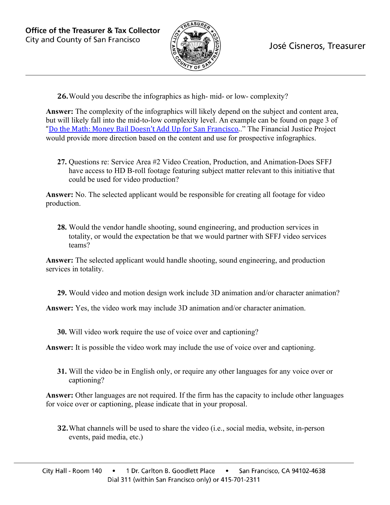

**26.**Would you describe the infographics as high- mid- or low- complexity?

**Answer:** The complexity of the infographics will likely depend on the subject and content area, but will likely fall into the mid-to-low complexity level. An example can be found on page 3 of ["Do the Math: Money Bail Doesn't Add Up for San Francisco.](https://sftreasurer.org/sites/default/files/2019-09/2017.6.27%20Bail%20Report%20FINAL_2.pdf)." The Financial Justice Project would provide more direction based on the content and use for prospective infographics.

**27.** Questions re: Service Area #2 Video Creation, Production, and Animation-Does SFFJ have access to HD B-roll footage featuring subject matter relevant to this initiative that could be used for video production?

**Answer:** No. The selected applicant would be responsible for creating all footage for video production.

**28.** Would the vendor handle shooting, sound engineering, and production services in totality, or would the expectation be that we would partner with SFFJ video services teams?

**Answer:** The selected applicant would handle shooting, sound engineering, and production services in totality.

**29.** Would video and motion design work include 3D animation and/or character animation?

**Answer:** Yes, the video work may include 3D animation and/or character animation.

**30.** Will video work require the use of voice over and captioning?

**Answer:** It is possible the video work may include the use of voice over and captioning.

**31.** Will the video be in English only, or require any other languages for any voice over or captioning?

**Answer:** Other languages are not required. If the firm has the capacity to include other languages for voice over or captioning, please indicate that in your proposal.

**32.**What channels will be used to share the video (i.e., social media, website, in-person events, paid media, etc.)